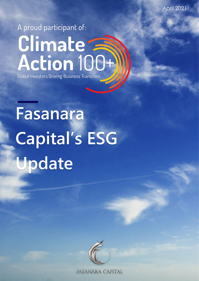April 2021

# A proud participant of: Climate<br>Action 100+ **Global Investors Driving Business Transition**

**Fasanara Capital's ESG Update**



**FASANARA CAPITAL**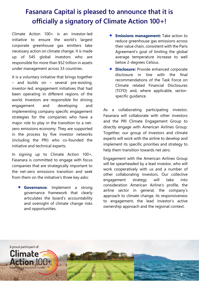# **Fasanara Capital is pleased to announce that it is officially a signatory of Climate Action 100+!**

Climate Action 100+ is an investor-led initiative to ensure the world's largest corporate greenhouse gas emitters take necessary action on climate change. It is made up of 545 global investors who are responsible for more than \$52 trillion in assets under management across 33 countries.

It is a voluntary initiative that brings together – and builds on – several pre-existing, investor-led, engagement initiatives that had been operating in different regions of the world. Investors are responsible for driving engagement and developing and implementing company specific engagement strategies for the companies who have a major role to play in the transition to a netzero emissions economy. They are supported in the process by five investor networks (including the PRI) who co-founded the initiative and technical experts.

In signing up to Climate Action 100+, Fasanara is committed to engage with focus companies that are strategically important to the net-zero emissions transition and seek from them on the initiative's three key asks:

• **Governance:** Implement a strong governance framework that clearly articulates the board's accountability and oversight of climate change risks and opportunities.

- **Emissions management:** Take action to reduce greenhouse gas emissions across their value chain, consistent with the Paris Agreement's goal of limiting the global average temperature increase to well below 2-degrees Celsius.
- **Disclosure:** Provide enhanced corporate disclosure in line with the final recommendations of the Task Force on Climate related Financial Disclosures (TCFD) and, where applicable, sectorspecific guidance.

As a collaborating participating investor, Fasanara will collaborate with other investors and the PRI Climate Engagement Group to directly engage with American Airlines Group. Together, our group of investors and climate experts will work with the airline to develop and implement its specific priorities and strategy to help them transition towards net zero.

Engagement with the American Airlines Group will be spearheaded by a lead investor, who will work cooperatively with us and a number of other collaborating investors. Our collective engagement strategy will take into consideration American Airline's profile, the airline sector in general, the company's approach to climate change, its responsiveness to engagement, the lead investor's active ownership approach and the regional context.

**2**

A proud participant of: Climate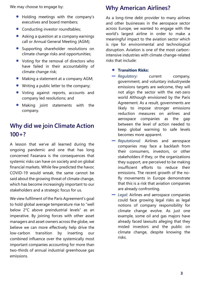We may choose to engage by:

- Holding meetings with the company's executives and board members;
- Conducting investor roundtables:
- Asking a question at a company earnings call or Annual General Meeting (AGM);
- Supporting shareholder resolutions on climate change risks and opportunities;
- Voting for the removal of directors who have failed in their accountability of climate change risk;
- Making a statement at a company AGM;
- Writing a public letter to the company;
- Voting against reports, accounts and company led resolutions; and
- Making joint statements with the company.

# **Why did we join Climate Action 100+?**

A lesson that we've all learned during the ongoing pandemic and one that has long concerned Fasanara is the consequences that systemic risks can have on society and on global financial markets. While few predicted the havoc COVID-19 would wreak, the same cannot be said about the growing threat of climate change, which has become increasingly important to our stakeholders and a strategic focus for us.

We view fulfilment of the Paris Agreement's goal to hold global average temperature rise to "well below 2°C above preindustrial levels" as an imperative. By joining forces with other asset managers and asset owners across the globe, we believe we can more effectively help drive the low-carbon transition by inserting our combined influence over the systemically most important companies accounting for more than two-thirds of annual industrial greenhouse gas emissions.

# **Why American Airlines?**

As a long-time debt provider to many airlines and other businesses in the aerospace sector across Europe, we wanted to engage with the world's largest airline in order to make a meaningful impact to the aviation sector which is ripe for environmental and technological disruption. Aviation is one of the most carbonintensive industries with climate change-related risks that include:

### • **Transition Risks:**

- ▬ *Regulatory:* current company, government, and voluntary industrywide emissions targets are welcome, they will not align the sector with the net-zero world Although envisioned by the Paris Agreement. As a result, governments are likely to impose stronger emissions reduction measures on airlines and aerospace companies as the gap between the level of action needed to keep global warming to safe levels becomes more apparent.
- ▬ *Reputational:* Airlines and aerospace companies may face a backlash from their consumers, investors, or other stakeholders if they, or the organizations they support, are perceived to be making insufficient efforts to reduce their emissions. The recent growth of the nofly movements in Europe demonstrate that this is a risk that aviation companies are already confronting.
- ▬ *Legal*: Airlines and aerospace companies could face growing legal risks as legal notions of company responsibility for climate change evolve. As just one example, some oil and gas majors have already faced lawsuits alleging that they misled investors and the public on climate change, despite knowing the risks.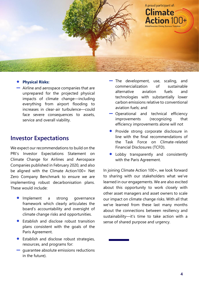

### • **Physical Risks:**

▬ Airline and aerospace companies that are unprepared for the projected physical impacts of climate change—including everything from airport flooding to increases in clear-air turbulence—could face severe consequences to assets, service and overall viability.

### **Investor Expectations**

We expect our recommendations to build on the PRI's Investor Expectations Statement on Climate Change for Airlines and Aerospace Companies published in February 2020, and also be aligned with the Climate Action100+ Net Zero Company Benchmark to ensure we are implementing robust decarbonisation plans. These would include:

- Implement a strong governance framework which clearly articulates the board's accountability and oversight of climate change risks and opportunities.
- Establish and disclose robust transition plans consistent with the goals of the Paris Agreement.
- Establish and disclose robust strategies, resources, and programs for:
- ▬ guarantee absolute emissions reductions in the future).
- ▬ The development, use, scaling, and commercialization of sustainable alternative aviation fuels and technologies with substantially lower carbon emissions relative to conventional aviation fuels; and
- ▬ Operational and technical efficiency improvements (recognizing that efficiency improvements alone will not
- Provide strong corporate disclosure in line with the final recommendations of the Task Force on Climate-related Financial Disclosures (TCFD).
- Lobby transparently and consistently with the Paris Agreement.

In joining Climate Action 100+, we look forward to sharing with our stakeholders what we've learned in our engagements. We are also excited about this opportunity to work closely with other asset managers and asset owners to scale our impact on climate change risks. With all that we've learned from these last many months about the connections between resiliency and sustainability—it's time to take action with a sense of shared purpose and urgency.